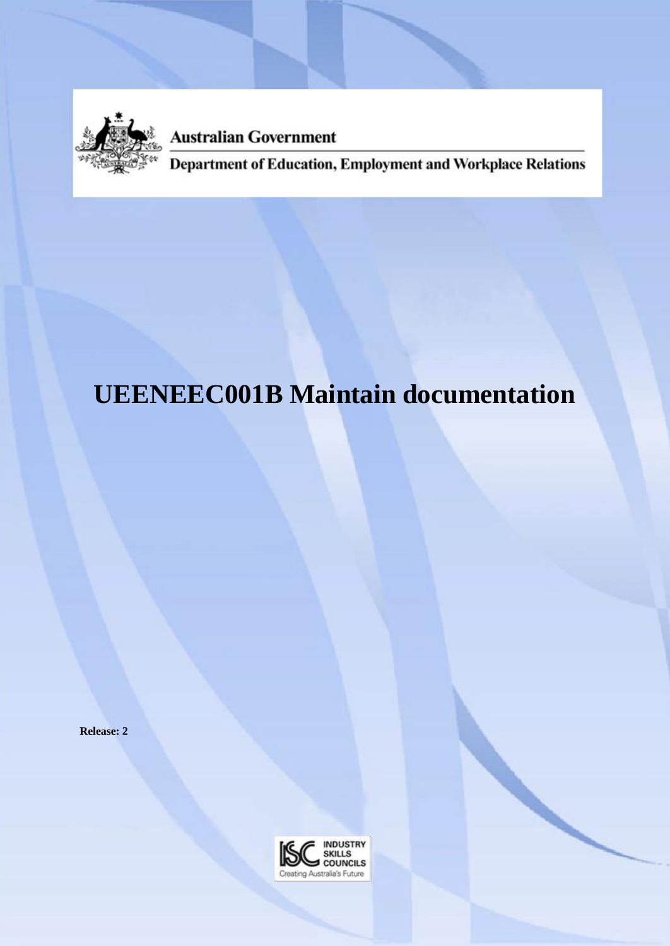

**Australian Government** 

Department of Education, Employment and Workplace Relations

# **UEENEEC001B Maintain documentation**

**Release: 2**

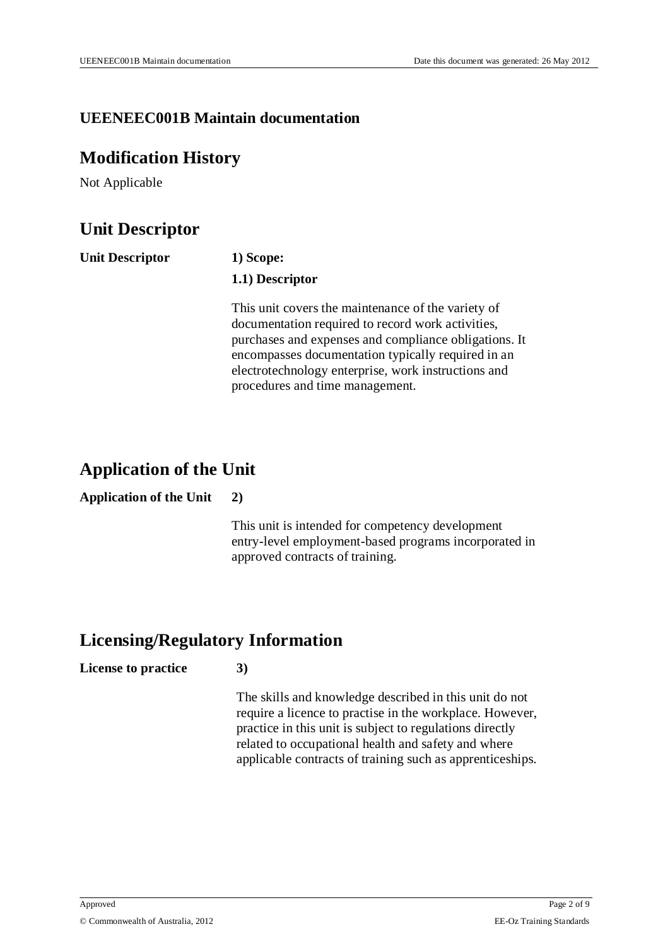### **UEENEEC001B Maintain documentation**

## **Modification History**

Not Applicable

# **Unit Descriptor**

| <b>Unit Descriptor</b> | 1) Scope:                                                                                                                                                                                                                                                                                                        |  |  |
|------------------------|------------------------------------------------------------------------------------------------------------------------------------------------------------------------------------------------------------------------------------------------------------------------------------------------------------------|--|--|
|                        | 1.1) Descriptor                                                                                                                                                                                                                                                                                                  |  |  |
|                        | This unit covers the maintenance of the variety of<br>documentation required to record work activities,<br>purchases and expenses and compliance obligations. It<br>encompasses documentation typically required in an<br>electrotechnology enterprise, work instructions and<br>procedures and time management. |  |  |

# **Application of the Unit**

#### **Application of the Unit 2)**

This unit is intended for competency development entry-level employment-based programs incorporated in approved contracts of training.

# **Licensing/Regulatory Information**

#### **License to practice 3)**

The skills and knowledge described in this unit do not require a licence to practise in the workplace. However, practice in this unit is subject to regulations directly related to occupational health and safety and where applicable contracts of training such as apprenticeships.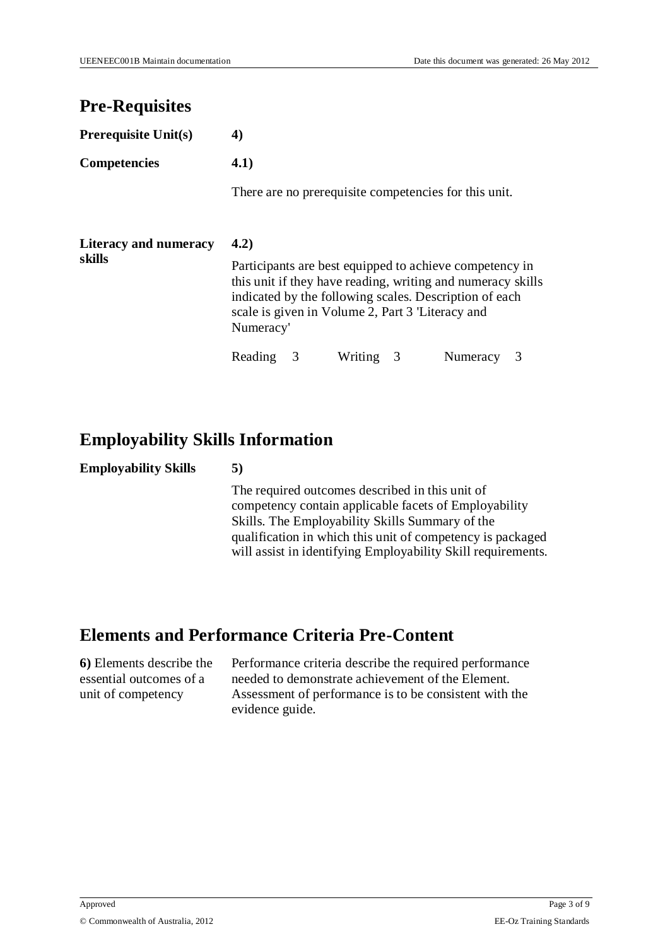# **Pre-Requisites**

| <b>Prerequisite Unit(s)</b>            | 4)                                                                                                                                                                                                                                                |  |         |   |                                                       |  |
|----------------------------------------|---------------------------------------------------------------------------------------------------------------------------------------------------------------------------------------------------------------------------------------------------|--|---------|---|-------------------------------------------------------|--|
| <b>Competencies</b>                    | 4.1)                                                                                                                                                                                                                                              |  |         |   |                                                       |  |
|                                        |                                                                                                                                                                                                                                                   |  |         |   | There are no prerequisite competencies for this unit. |  |
| <b>Literacy and numeracy</b><br>skills | 4.2)                                                                                                                                                                                                                                              |  |         |   |                                                       |  |
|                                        | Participants are best equipped to achieve competency in<br>this unit if they have reading, writing and numeracy skills<br>indicated by the following scales. Description of each<br>scale is given in Volume 2, Part 3 'Literacy and<br>Numeracy' |  |         |   |                                                       |  |
|                                        | Reading                                                                                                                                                                                                                                           |  | Writing | 3 | Numeracy                                              |  |

# **Employability Skills Information**

#### **Employability Skills 5)**

The required outcomes described in this unit of competency contain applicable facets of Employability Skills. The Employability Skills Summary of the qualification in which this unit of competency is packaged will assist in identifying Employability Skill requirements.

# **Elements and Performance Criteria Pre-Content**

**6)** Elements describe the essential outcomes of a unit of competency

Performance criteria describe the required performance needed to demonstrate achievement of the Element. Assessment of performance is to be consistent with the evidence guide.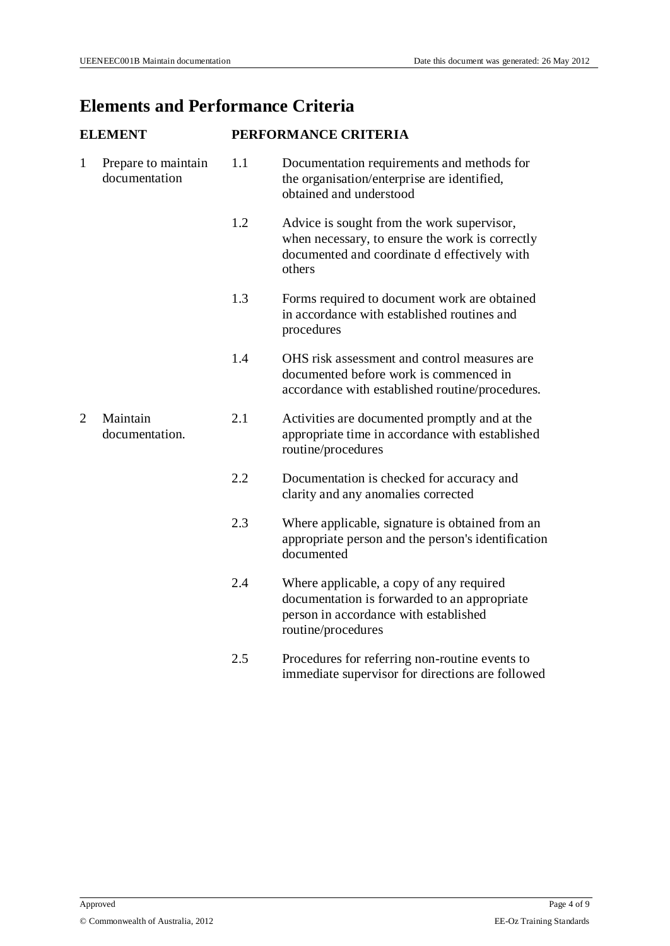# **Elements and Performance Criteria**

| <b>ELEMENT</b> |                                      | PERFORMANCE CRITERIA |                                                                                                                                                         |  |  |
|----------------|--------------------------------------|----------------------|---------------------------------------------------------------------------------------------------------------------------------------------------------|--|--|
| $\mathbf{1}$   | Prepare to maintain<br>documentation | 1.1                  | Documentation requirements and methods for<br>the organisation/enterprise are identified,<br>obtained and understood                                    |  |  |
|                |                                      | 1.2                  | Advice is sought from the work supervisor,<br>when necessary, to ensure the work is correctly<br>documented and coordinate d effectively with<br>others |  |  |
|                |                                      | 1.3                  | Forms required to document work are obtained<br>in accordance with established routines and<br>procedures                                               |  |  |
|                |                                      | 1.4                  | OHS risk assessment and control measures are<br>documented before work is commenced in<br>accordance with established routine/procedures.               |  |  |
| 2              | Maintain<br>documentation.           | 2.1                  | Activities are documented promptly and at the<br>appropriate time in accordance with established<br>routine/procedures                                  |  |  |
|                |                                      | 2.2                  | Documentation is checked for accuracy and<br>clarity and any anomalies corrected                                                                        |  |  |
|                |                                      | 2.3                  | Where applicable, signature is obtained from an<br>appropriate person and the person's identification<br>documented                                     |  |  |
|                |                                      | 2.4                  | Where applicable, a copy of any required<br>documentation is forwarded to an appropriate<br>person in accordance with established<br>routine/procedures |  |  |
|                |                                      | 2.5                  | Procedures for referring non-routine events to<br>immediate supervisor for directions are followed                                                      |  |  |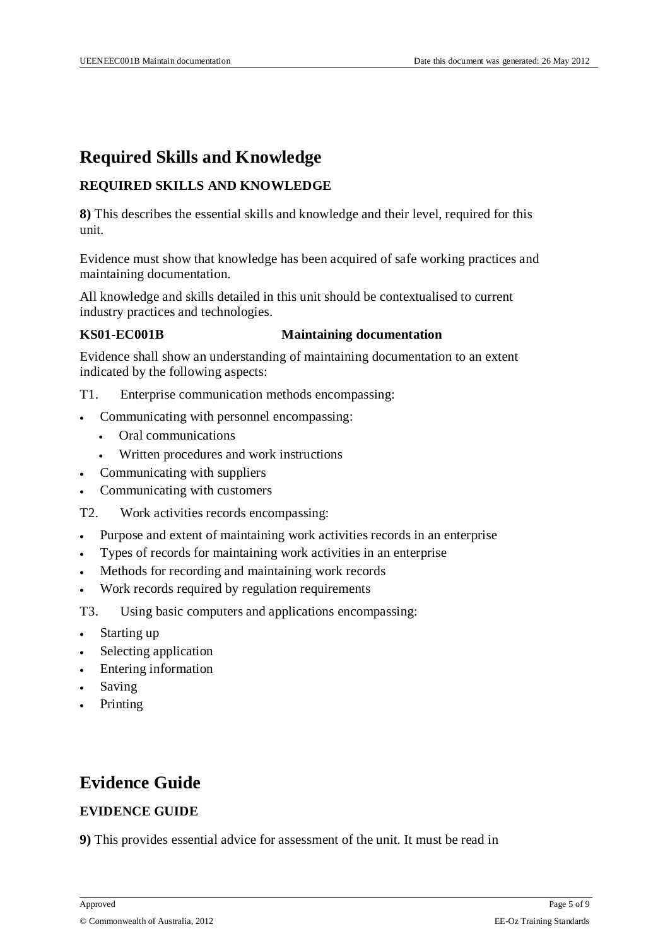# **Required Skills and Knowledge**

#### **REQUIRED SKILLS AND KNOWLEDGE**

**8)** This describes the essential skills and knowledge and their level, required for this unit.

Evidence must show that knowledge has been acquired of safe working practices and maintaining documentation.

All knowledge and skills detailed in this unit should be contextualised to current industry practices and technologies.

#### **KS01-EC001B Maintaining documentation**

Evidence shall show an understanding of maintaining documentation to an extent indicated by the following aspects:

- T1. Enterprise communication methods encompassing:
- Communicating with personnel encompassing:
	- Oral communications
	- Written procedures and work instructions
- Communicating with suppliers
- Communicating with customers
- T2. Work activities records encompassing:
- Purpose and extent of maintaining work activities records in an enterprise
- Types of records for maintaining work activities in an enterprise
- Methods for recording and maintaining work records
- Work records required by regulation requirements
- T3. Using basic computers and applications encompassing:
- Starting up
- Selecting application
- Entering information
- Saving
- Printing

# **Evidence Guide**

#### **EVIDENCE GUIDE**

**9)** This provides essential advice for assessment of the unit. It must be read in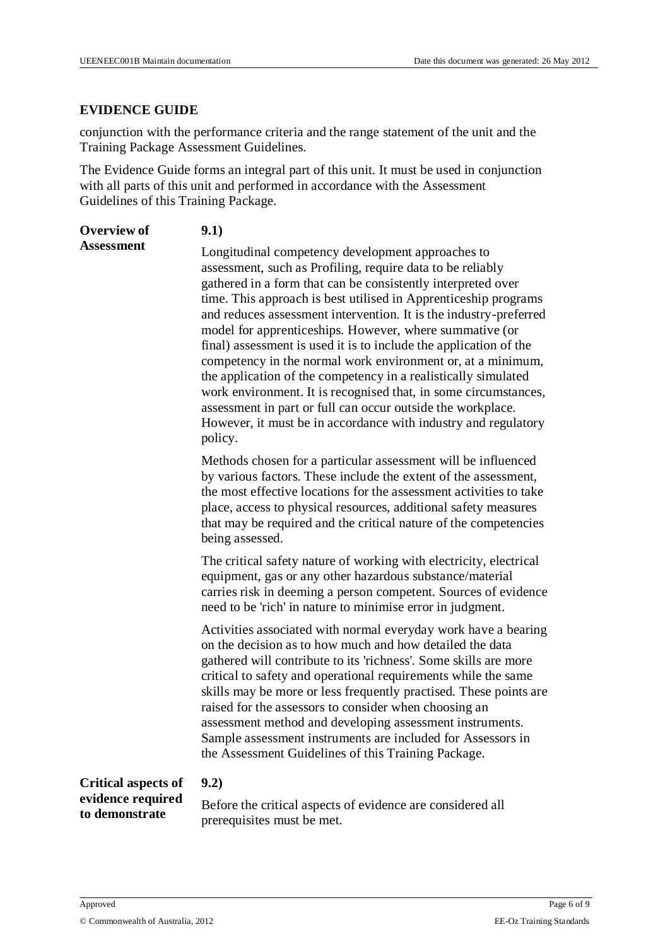#### **EVIDENCE GUIDE**

conjunction with the performance criteria and the range statement of the unit and the Training Package Assessment Guidelines.

The Evidence Guide forms an integral part of this unit. It must be used in conjunction with all parts of this unit and performed in accordance with the Assessment Guidelines of this Training Package.

| <b>Overview of</b>                  | 9.1)                                                                                                                                                                                                                                                                                                                                                                                                                                                                                                                                                                                                                                                                                                                                                                                                    |
|-------------------------------------|---------------------------------------------------------------------------------------------------------------------------------------------------------------------------------------------------------------------------------------------------------------------------------------------------------------------------------------------------------------------------------------------------------------------------------------------------------------------------------------------------------------------------------------------------------------------------------------------------------------------------------------------------------------------------------------------------------------------------------------------------------------------------------------------------------|
| <b>Assessment</b>                   | Longitudinal competency development approaches to<br>assessment, such as Profiling, require data to be reliably<br>gathered in a form that can be consistently interpreted over<br>time. This approach is best utilised in Apprenticeship programs<br>and reduces assessment intervention. It is the industry-preferred<br>model for apprenticeships. However, where summative (or<br>final) assessment is used it is to include the application of the<br>competency in the normal work environment or, at a minimum,<br>the application of the competency in a realistically simulated<br>work environment. It is recognised that, in some circumstances,<br>assessment in part or full can occur outside the workplace.<br>However, it must be in accordance with industry and regulatory<br>policy. |
|                                     | Methods chosen for a particular assessment will be influenced<br>by various factors. These include the extent of the assessment,<br>the most effective locations for the assessment activities to take<br>place, access to physical resources, additional safety measures<br>that may be required and the critical nature of the competencies<br>being assessed.                                                                                                                                                                                                                                                                                                                                                                                                                                        |
|                                     | The critical safety nature of working with electricity, electrical<br>equipment, gas or any other hazardous substance/material<br>carries risk in deeming a person competent. Sources of evidence<br>need to be 'rich' in nature to minimise error in judgment.                                                                                                                                                                                                                                                                                                                                                                                                                                                                                                                                         |
|                                     | Activities associated with normal everyday work have a bearing<br>on the decision as to how much and how detailed the data<br>gathered will contribute to its 'richness'. Some skills are more<br>critical to safety and operational requirements while the same<br>skills may be more or less frequently practised. These points are<br>raised for the assessors to consider when choosing an<br>assessment method and developing assessment instruments.<br>Sample assessment instruments are included for Assessors in<br>the Assessment Guidelines of this Training Package.                                                                                                                                                                                                                        |
| <b>Critical aspects of</b>          | 9.2)                                                                                                                                                                                                                                                                                                                                                                                                                                                                                                                                                                                                                                                                                                                                                                                                    |
| evidence required<br>to demonstrate | Before the critical aspects of evidence are considered all                                                                                                                                                                                                                                                                                                                                                                                                                                                                                                                                                                                                                                                                                                                                              |

prerequisites must be met.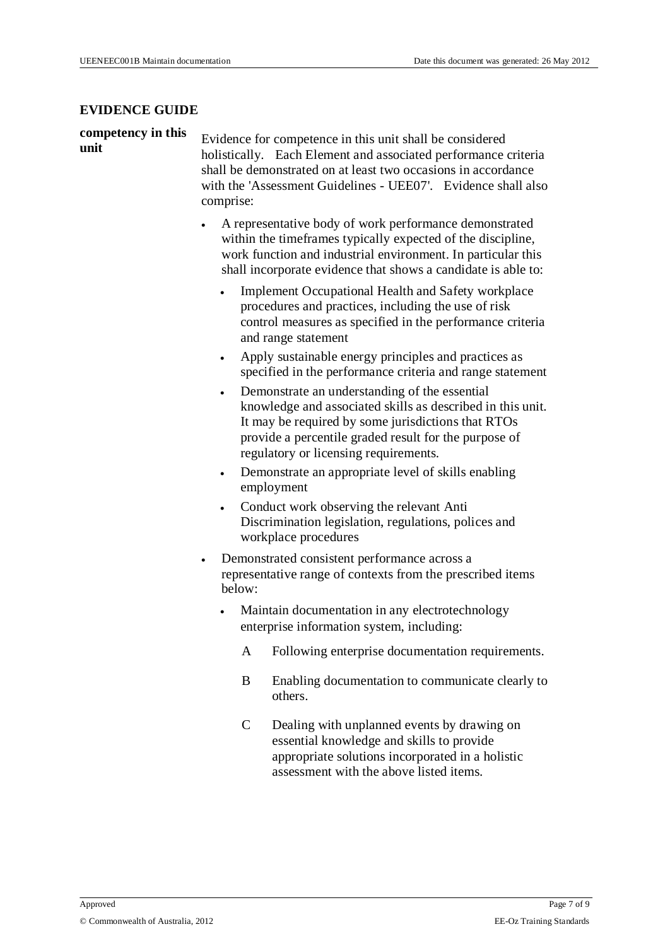#### **EVIDENCE GUIDE**

# **competency in this**

**unit** Evidence for competence in this unit shall be considered unit holistically. Each Element and associated performance criteria shall be demonstrated on at least two occasions in accordance with the 'Assessment Guidelines - UEE07'. Evidence shall also comprise:

- A representative body of work performance demonstrated within the timeframes typically expected of the discipline, work function and industrial environment. In particular this shall incorporate evidence that shows a candidate is able to:
	- Implement Occupational Health and Safety workplace procedures and practices, including the use of risk control measures as specified in the performance criteria and range statement
	- Apply sustainable energy principles and practices as specified in the performance criteria and range statement
	- Demonstrate an understanding of the essential knowledge and associated skills as described in this unit. It may be required by some jurisdictions that RTOs provide a percentile graded result for the purpose of regulatory or licensing requirements.
	- Demonstrate an appropriate level of skills enabling employment
	- Conduct work observing the relevant Anti Discrimination legislation, regulations, polices and workplace procedures
- Demonstrated consistent performance across a representative range of contexts from the prescribed items below:
	- Maintain documentation in any electrotechnology enterprise information system, including:
		- A Following enterprise documentation requirements.
		- B Enabling documentation to communicate clearly to others.
		- C Dealing with unplanned events by drawing on essential knowledge and skills to provide appropriate solutions incorporated in a holistic assessment with the above listed items.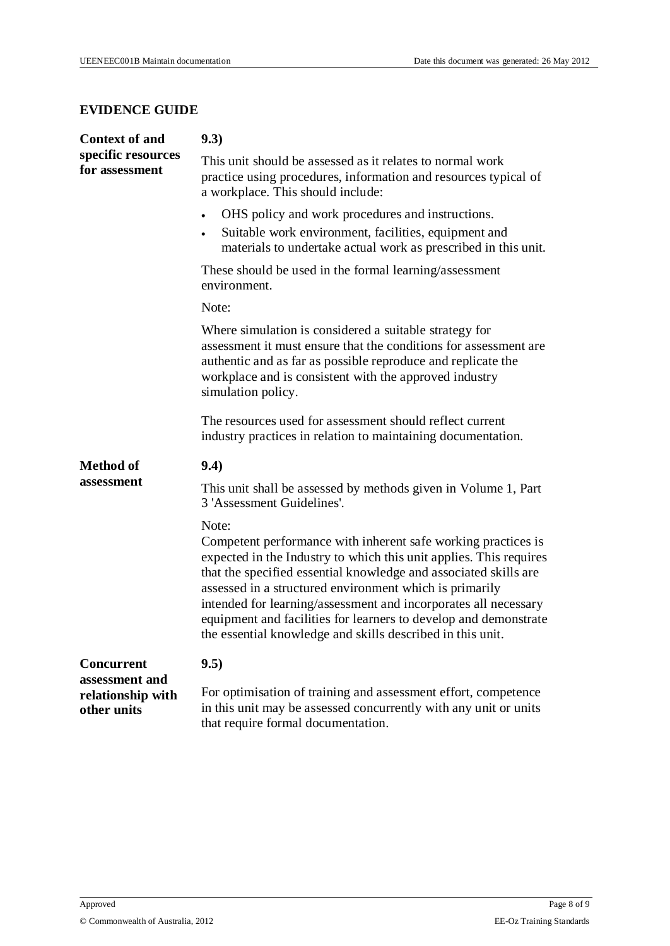#### **EVIDENCE GUIDE**

| <b>Context of and</b>                              | 9.3)                                                                                                                                                                                                                                                                                                                                                                                                                                                                             |
|----------------------------------------------------|----------------------------------------------------------------------------------------------------------------------------------------------------------------------------------------------------------------------------------------------------------------------------------------------------------------------------------------------------------------------------------------------------------------------------------------------------------------------------------|
| specific resources<br>for assessment               | This unit should be assessed as it relates to normal work<br>practice using procedures, information and resources typical of<br>a workplace. This should include:                                                                                                                                                                                                                                                                                                                |
|                                                    | OHS policy and work procedures and instructions.<br>$\bullet$<br>Suitable work environment, facilities, equipment and<br>$\bullet$<br>materials to undertake actual work as prescribed in this unit.                                                                                                                                                                                                                                                                             |
|                                                    | These should be used in the formal learning/assessment<br>environment.                                                                                                                                                                                                                                                                                                                                                                                                           |
|                                                    | Note:                                                                                                                                                                                                                                                                                                                                                                                                                                                                            |
|                                                    | Where simulation is considered a suitable strategy for<br>assessment it must ensure that the conditions for assessment are<br>authentic and as far as possible reproduce and replicate the<br>workplace and is consistent with the approved industry<br>simulation policy.                                                                                                                                                                                                       |
|                                                    | The resources used for assessment should reflect current<br>industry practices in relation to maintaining documentation.                                                                                                                                                                                                                                                                                                                                                         |
| <b>Method of</b>                                   | 9.4)                                                                                                                                                                                                                                                                                                                                                                                                                                                                             |
| assessment                                         | This unit shall be assessed by methods given in Volume 1, Part<br>3 'Assessment Guidelines'.                                                                                                                                                                                                                                                                                                                                                                                     |
|                                                    | Note:<br>Competent performance with inherent safe working practices is<br>expected in the Industry to which this unit applies. This requires<br>that the specified essential knowledge and associated skills are<br>assessed in a structured environment which is primarily<br>intended for learning/assessment and incorporates all necessary<br>equipment and facilities for learners to develop and demonstrate<br>the essential knowledge and skills described in this unit. |
| <b>Concurrent</b>                                  | 9.5)                                                                                                                                                                                                                                                                                                                                                                                                                                                                             |
| assessment and<br>relationship with<br>other units | For optimisation of training and assessment effort, competence<br>in this unit may be assessed concurrently with any unit or units<br>that require formal documentation.                                                                                                                                                                                                                                                                                                         |